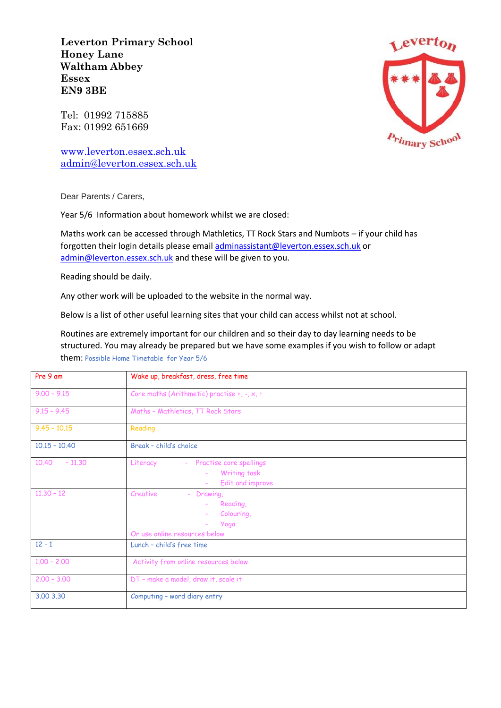**Leverton Primary School Honey Lane Waltham Abbey Essex EN9 3BE**

Tel: 01992 715885 Fax: 01992 651669

[www.leverton.essex.sch.uk](http://www.leverton.essex.sch.uk/) [admin@leverton.essex.sch.uk](mailto:admin@leverton.essex.sch.uk)



Dear Parents / Carers,

Year 5/6 Information about homework whilst we are closed:

Maths work can be accessed through Mathletics, TT Rock Stars and Numbots – if your child has forgotten their login details please emai[l adminassistant@leverton.essex.sch.uk](mailto:adminassistant@leverton.essex.sch.uk) or [admin@leverton.essex.sch.uk](mailto:admin@leverton.essex.sch.uk) and these will be given to you.

Reading should be daily.

Any other work will be uploaded to the website in the normal way.

Below is a list of other useful learning sites that your child can access whilst not at school.

Routines are extremely important for our children and so their day to day learning needs to be structured. You may already be prepared but we have some examples if you wish to follow or adapt them: Possible Home Timetable for Year 5/6

| Pre 9 am          | Wake up, breakfast, dress, free time                                                                                          |
|-------------------|-------------------------------------------------------------------------------------------------------------------------------|
| $9.00 - 9.15$     | Core maths (Arithmetic) practise +, -, $x$ , $\div$                                                                           |
| $9.15 - 9.45$     | Maths - Mathletics, TT Rock Stars                                                                                             |
| $9.45 - 10.15$    | Reading                                                                                                                       |
| $10.15 - 10.40$   | Break - child's choice                                                                                                        |
| 10.40<br>$-11,30$ | Literacy<br>Practise core spellings<br>$\sim$<br>Writing task<br>$\overline{\phantom{a}}$<br>Edit and improve<br>÷            |
| $11.30 - 12$      | Creative<br>Drawing,<br>$\overline{\phantom{a}}$<br>Reading,<br>$\sim$<br>Colouring,<br>Yoga<br>Or use online resources below |
| $12 - 1$          | Lunch - child's free time                                                                                                     |
| $1.00 - 2.00$     | Activity from online resources below                                                                                          |
| $2.00 - 3.00$     | DT - make a model, draw it, scale it                                                                                          |
| 3,00 3,30         | Computing - word diary entry                                                                                                  |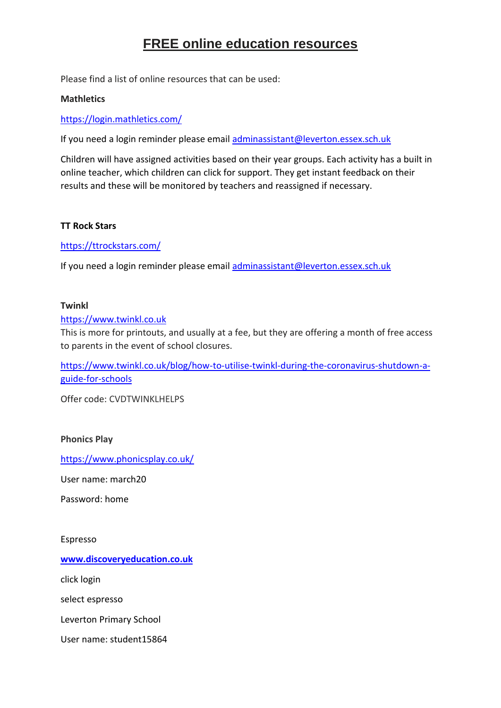# **FREE online education resources**

Please find a list of online resources that can be used:

# **Mathletics**

<https://login.mathletics.com/>

If you need a login reminder please email [adminassistant@leverton.essex.sch.uk](mailto:adminassistant@leverton.essex.sch.uk)

Children will have assigned activities based on their year groups. Each activity has a built in online teacher, which children can click for support. They get instant feedback on their results and these will be monitored by teachers and reassigned if necessary.

# **TT Rock Stars**

<https://ttrockstars.com/>

If you need a login reminder please email [adminassistant@leverton.essex.sch.uk](mailto:adminassistant@leverton.essex.sch.uk)

#### **Twinkl**

[https://www.twinkl.co.uk](https://www.twinkl.co.uk/)

This is more for printouts, and usually at a fee, but they are offering a month of free access to parents in the event of school closures.

[https://www.twinkl.co.uk/blog/how-to-utilise-twinkl-during-the-coronavirus-shutdown-a](https://www.twinkl.co.uk/blog/how-to-utilise-twinkl-during-the-coronavirus-shutdown-a-guide-for-schools)[guide-for-schools](https://www.twinkl.co.uk/blog/how-to-utilise-twinkl-during-the-coronavirus-shutdown-a-guide-for-schools)

Offer code: CVDTWINKLHELPS

#### **Phonics Play**

<https://www.phonicsplay.co.uk/>

User name: march20

Password: home

Espresso

**[www.discoveryeducation.co.uk](http://www.discoveryeducation.co.uk/)**

click login

select espresso

Leverton Primary School

User name: student15864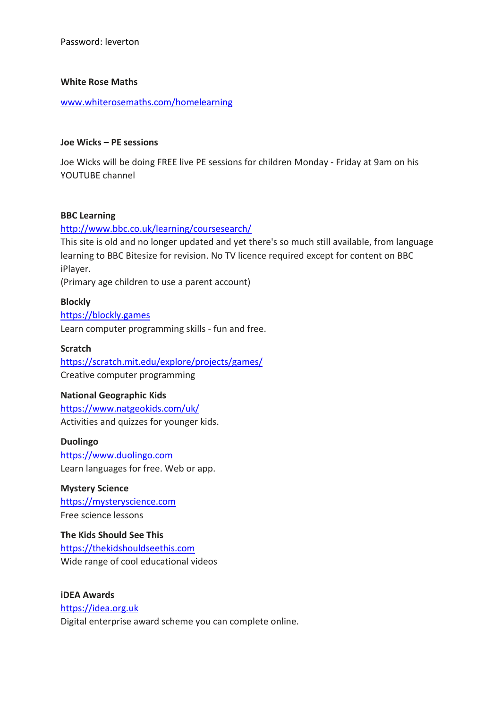Password: leverton

#### **White Rose Maths**

[www.whiterosemaths.com/homelearning](http://www.whiterosemaths.com/homelearning)

# **Joe Wicks – PE sessions**

Joe Wicks will be doing FREE live PE sessions for children Monday - Friday at 9am on his YOUTUBE channel

# **BBC Learning**

# <http://www.bbc.co.uk/learning/coursesearch/>

This site is old and no longer updated and yet there's so much still available, from language learning to BBC Bitesize for revision. No TV licence required except for content on BBC iPlayer.

(Primary age children to use a parent account)

# **Blockly**

[https://blockly.games](https://blockly.games/) Learn computer programming skills - fun and free.

# **Scratch**

<https://scratch.mit.edu/explore/projects/games/> Creative computer programming

#### **National Geographic Kids**

<https://www.natgeokids.com/uk/> Activities and quizzes for younger kids.

# **Duolingo**

[https://www.duolingo.com](https://www.duolingo.com/) Learn languages for free. Web or app.

**Mystery Science** [https://mysteryscience.com](https://mysteryscience.com/) Free science lessons

**The Kids Should See This** [https://thekidshouldseethis.com](https://thekidshouldseethis.com/) Wide range of cool educational videos

**iDEA Awards** [https://idea.org.uk](https://idea.org.uk/) Digital enterprise award scheme you can complete online.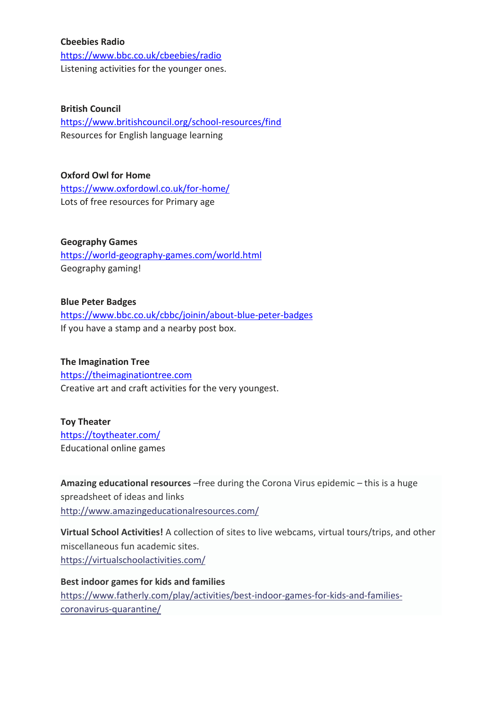#### **Cbeebies Radio**

<https://www.bbc.co.uk/cbeebies/radio> Listening activities for the younger ones.

#### **British Council**

<https://www.britishcouncil.org/school-resources/find> Resources for English language learning

**Oxford Owl for Home** <https://www.oxfordowl.co.uk/for-home/> Lots of free resources for Primary age

**Geography Games** <https://world-geography-games.com/world.html> Geography gaming!

**Blue Peter Badges** <https://www.bbc.co.uk/cbbc/joinin/about-blue-peter-badges> If you have a stamp and a nearby post box.

#### **The Imagination Tree**

[https://theimaginationtree.com](https://theimaginationtree.com/) Creative art and craft activities for the very youngest.

#### **Toy Theater**

<https://toytheater.com/> Educational online games

**Amazing educational resources** –free during the Corona Virus epidemic – this is a huge spreadsheet of ideas and links <http://www.amazingeducationalresources.com/>

**Virtual School Activities!** A collection of sites to live webcams, virtual tours/trips, and other miscellaneous fun academic sites. <https://virtualschoolactivities.com/>

**Best indoor games for kids and families** [https://www.fatherly.com/play/activities/best-indoor-games-for-kids-and-families](https://www.fatherly.com/play/activities/best-indoor-games-for-kids-and-families-coronavirus-quarantine/)[coronavirus-quarantine/](https://www.fatherly.com/play/activities/best-indoor-games-for-kids-and-families-coronavirus-quarantine/)